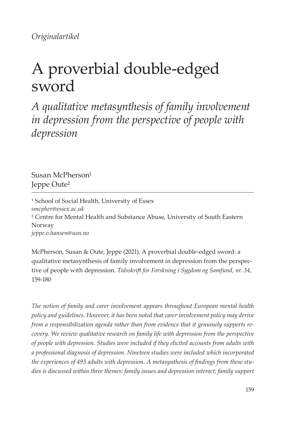*Originalartikel*

# A proverbial double-edged sword

*A qualitative metasynthesis of family involvement in depression from the perspective of people with depression*

Susan McPherson $1$ Jeppe Oute²

<sup>1</sup> School of Social Health, University of Essex *smcpher@essex.ac.uk*  ² Centre for Mental Health and Substance Abuse, University of South Eastern Norway *jeppe.o.hansen@usn.no*

McPherson, Susan & Oute, Jeppe (2021). A proverbial double-edged sword: a qualitative metasynthesis of family involvement in depression from the perspective of people with depression. *Tidsskrif for Forskning i Sygdom og Samfund, nr. 34,*  159-180

*The notion of family and carer involvement appears throughout European mental health policy and guidelines. However, it has been noted that carer involvement policy may derive from a responsibilization agenda rather than from evidence that it genuinely supports recovery. We review qualitative research on family life with depression from the perspective of people with depression. Studies were included if they elicited accounts from adults with a professional diagnosis of depression. Nineteen studies were included which incorporated the experiences of 493 adults with depression. A metasynthesis of fndings from these studies is discussed within three themes: family issues and depression interact; family support*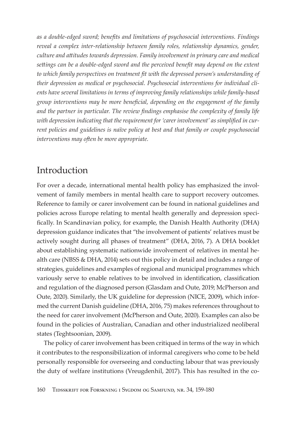as a double-edged sword; benefits and limitations of psychosocial interventions. Findings reveal a complex inter-relationship between family roles, relationship dynamics, gender, culture and attitudes towards depression. Family involvement in primary care and medical settings can be a double-edged sword and the perceived benefit may depend on the extent to which family perspectives on treatment fit with the depressed person's understanding of their depression as medical or psychosocial. Psychosocial interventions for individual clients have several limitations in terms of improving family relationships while family-based group interventions may be more beneficial, depending on the engagement of the family and the partner in particular. The review findings emphasise the complexity of family life with depression indicating that the requirement for 'carer involvement' as simplified in current policies and guidelines is naïve policy at best and that family or couple psychosocial interventions may often be more appropriate.

### Introduction

For over a decade, international mental health policy has emphasized the involvement of family members in mental health care to support recovery outcomes. Reference to family or carer involvement can be found in national guidelines and policies across Europe relating to mental health generally and depression specifically. In Scandinavian policy, for example, the Danish Health Authority (DHA) depression guidance indicates that "the involvement of patients' relatives must be actively sought during all phases of treatment" (DHA, 2016, 7). A DHA booklet about establishing systematic nationwide involvement of relatives in mental health care (NBSS & DHA, 2014) sets out this policy in detail and includes a range of strategies, guidelines and examples of regional and municipal programmes which variously serve to enable relatives to be involved in identification, classification and regulation of the diagnosed person (Glasdam and Oute, 2019; McPherson and Oute, 2020). Similarly, the UK guideline for depression (NICE, 2009), which informed the current Danish guideline (DHA, 2016, 75) makes references throughout to the need for carer involvement (McPherson and Oute, 2020). Examples can also be found in the policies of Australian, Canadian and other industrialized neoliberal states (Teghtsoonian, 2009).

The policy of carer involvement has been critiqued in terms of the way in which it contributes to the responsibilization of informal caregivers who come to be held personally responsible for overseeing and conducting labour that was previously the duty of welfare institutions (Vreugdenhil, 2017). This has resulted in the co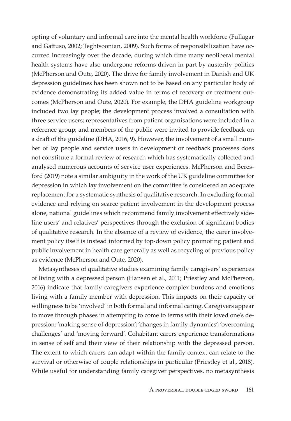opting of voluntary and informal care into the mental health workforce (Fullagar and Gatuso, 2002; Teghtsoonian, 2009). Such forms of responsibilization have occurred increasingly over the decade, during which time many neoliberal mental health systems have also undergone reforms driven in part by austerity politics (McPherson and Oute, 2020). The drive for family involvement in Danish and UK depression guidelines has been shown not to be based on any particular body of evidence demonstrating its added value in terms of recovery or treatment outcomes (McPherson and Oute, 2020). For example, the DHA guideline workgroup included two lay people; the development process involved a consultation with three service users; representatives from patient organisations were included in a reference group; and members of the public were invited to provide feedback on a draft of the guideline (DHA, 2016, 9). However, the involvement of a small number of lay people and service users in development or feedback processes does not constitute a formal review of research which has systematically collected and analysed numerous accounts of service user experiences. McPherson and Beresford (2019) note a similar ambiguity in the work of the UK guideline commitee for depression in which lay involvement on the commitee is considered an adequate replacement for a systematic synthesis of qualitative research. In excluding formal evidence and relying on scarce patient involvement in the development process alone, national guidelines which recommend family involvement efectively sideline users' and relatives' perspectives through the exclusion of signifcant bodies of qualitative research. In the absence of a review of evidence, the carer involvement policy itself is instead informed by top-down policy promoting patient and public involvement in health care generally as well as recycling of previous policy as evidence (McPherson and Oute, 2020).

Metasyntheses of qualitative studies examining family caregivers' experiences of living with a depressed person (Hansen et al., 2011; Priestley and McPherson, 2016) indicate that family caregivers experience complex burdens and emotions living with a family member with depression. This impacts on their capacity or willingness to be 'involved' in both formal and informal caring. Caregivers appear to move through phases in atempting to come to terms with their loved one's depression: 'making sense of depression'; 'changes in family dynamics'; 'overcoming challenges' and 'moving forward'. Cohabitant carers experience transformations in sense of self and their view of their relationship with the depressed person. The extent to which carers can adapt within the family context can relate to the survival or otherwise of couple relationships in particular (Priestley et al., 2018). While useful for understanding family caregiver perspectives, no metasynthesis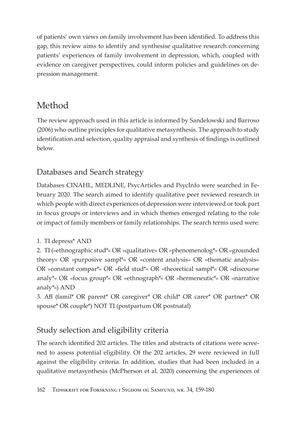of patients' own views on family involvement has been identified. To address this gap, this review aims to identify and synthesise qualitative research concerning patients' experiences of family involvement in depression, which, coupled with evidence on caregiver perspectives, could inform policies and guidelines on depression management.

## Method

The review approach used in this article is informed by Sandelowski and Barroso (2006) who outline principles for qualitative metasynthesis. The approach to study identification and selection, quality appraisal and synthesis of findings is outlined below.

## Databases and Search strategy

Databases CINAHL, MEDLINE, PsycArticles and PsycInfo were searched in February 2020. The search aimed to identify qualitative peer reviewed research in which people with direct experiences of depression were interviewed or took part in focus groups or interviews and in which themes emerged relating to the role or impact of family members or family relationships. The search terms used were:

#### 1. TI depress\* AND

2. TI (»ethnographic stud\*« OR »qualitative« OR »phenomenolog\*« OR »grounded theory« OR »purposive sampl\*« OR »content analysis« OR »thematic analysis« OR »constant compar<sup>\*</sup>« OR »field stud<sup>\*</sup>« OR »theoretical sampl<sup>\*</sup>« OR »discourse analy\*« OR »focus group\*« OR »ethnograph\*« OR »hermeneutic\*« OR »narrative analy<sup>\*</sup>«) AND

3. AB (famil\* OR parent\* OR caregiver\* OR child\* OR carer\* OR partner\* OR spouse\* OR couple\*) NOT TI (postpartum OR postnatal)

## Study selection and eligibility criteria

The search identified 202 articles. The titles and abstracts of citations were screened to assess potential eligibility. Of the 202 articles, 29 were reviewed in full against the eligibility criteria. In addition, studies that had been included in a qualitative metasynthesis (McPherson et al. 2020) concerning the experiences of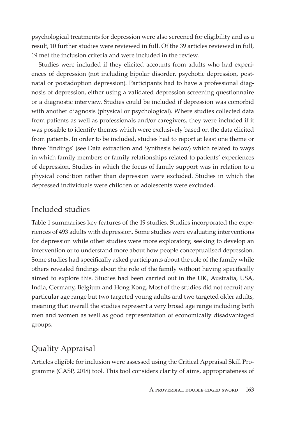psychological treatments for depression were also screened for eligibility and as a result, 10 further studies were reviewed in full. Of the 39 articles reviewed in full, 19 met the inclusion criteria and were included in the review.

Studies were included if they elicited accounts from adults who had experiences of depression (not including bipolar disorder, psychotic depression, postnatal or postadoption depression). Participants had to have a professional diagnosis of depression, either using a validated depression screening questionnaire or a diagnostic interview. Studies could be included if depression was comorbid with another diagnosis (physical or psychological). Where studies collected data from patients as well as professionals and/or caregivers, they were included if it was possible to identify themes which were exclusively based on the data elicited from patients. In order to be included, studies had to report at least one theme or three 'fndings' (see Data extraction and Synthesis below) which related to ways in which family members or family relationships related to patients' experiences of depression. Studies in which the focus of family support was in relation to a physical condition rather than depression were excluded. Studies in which the depressed individuals were children or adolescents were excluded.

#### Included studies

Table 1 summarises key features of the 19 studies. Studies incorporated the experiences of 493 adults with depression. Some studies were evaluating interventions for depression while other studies were more exploratory, seeking to develop an intervention or to understand more about how people conceptualised depression. Some studies had specifcally asked participants about the role of the family while others revealed fndings about the role of the family without having specifcally aimed to explore this. Studies had been carried out in the UK, Australia, USA, India, Germany, Belgium and Hong Kong. Most of the studies did not recruit any particular age range but two targeted young adults and two targeted older adults, meaning that overall the studies represent a very broad age range including both men and women as well as good representation of economically disadvantaged groups.

## Quality Appraisal

Articles eligible for inclusion were assessed using the Critical Appraisal Skill Programme (CASP, 2018) tool. This tool considers clarity of aims, appropriateness of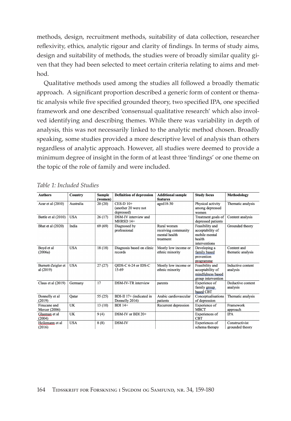methods, design, recruitment methods, suitability of data collection, researcher reflexivity, ethics, analytic rigour and clarity of findings. In terms of study aims, design and suitability of methods, the studies were of broadly similar quality given that they had been selected to meet certain criteria relating to aims and method.

Qualitative methods used among the studies all followed a broadly thematic approach. A significant proportion described a generic form of content or thematic analysis while five specified grounded theory, two specified IPA, one specified framework and one described 'consensual qualitative research' which also involved identifying and describing themes. While there was variability in depth of analysis, this was not necessarily linked to the analytic method chosen. Broadly speaking, some studies provided a more descriptive level of analysis than others regardless of analytic approach. However, all studies were deemed to provide a minimum degree of insight in the form of at least three 'findings' or one theme on the topic of the role of family and were included.

| <b>Authors</b>                  | Country    | <b>Sample</b> | <b>Definition of depression</b>                   | <b>Additional sample</b>                                         | <b>Study focus</b>                                                              | <b>Methodology</b>                |
|---------------------------------|------------|---------------|---------------------------------------------------|------------------------------------------------------------------|---------------------------------------------------------------------------------|-----------------------------------|
|                                 |            | (women)       |                                                   | features                                                         |                                                                                 |                                   |
| Azar et al (2010)               | Australia  | 20(20)        | $CES-D 10+$<br>(another 20 were not<br>depressed) | $a$ ged $18-30$                                                  | Physical activity<br>among depressed<br>women                                   | Thematic analysis                 |
| Battle et al (2010)             | <b>USA</b> | 26(17)        | DSM-IV interview and<br>MHRSD 14+                 |                                                                  | Treatment goals of<br>depressed patients                                        | Content analysis                  |
| Bhat et al (2020)               | India      | 69 (69)       | Diagnosed by<br>professional                      | Rural women<br>receiving community<br>mental health<br>treatment | Feasibility and<br>acceptability of<br>mobile mental<br>health<br>interventions | Grounded theory                   |
| Boyd et al<br>(2006a)           | <b>USA</b> | 18(18)        | Diagnosis based on clinic<br>records              | Mostly low income or<br>ethnic minority                          | Developing a<br>family based<br>prevention<br>programme                         | Content and<br>thematic analysis  |
| Burnett-Zeigler et<br>al (2019) | <b>USA</b> | 27(27)        | OIDS-C 6-24 or IDS-C<br>15-69                     | Mostly low income or<br>ethnic minority                          | Feasibility and<br>acceptability of<br>mindfulness based<br>group intervention  | Inductive content<br>analysis     |
| Claus et al (2019)              | Germany    | 17            | DSM-IV-TR interview                               | parents                                                          | Experience of<br>family group<br>based CBT                                      | Deductive content<br>analysis     |
| Donnelly et al<br>(2019)        | Oatar      | 55 (25)       | BDI-II 17+ (indicated in<br>Donnelly 2016)        | Arabic cardiovascular<br>patients                                | Conceptualisations<br>of depression                                             | Thematic analysis                 |
| Finucane and<br>Mercer (2006)   | UK         | 13(10)        | <b>BDI 14+</b>                                    | Recurrent depression                                             | Experience of<br><b>MBCT</b>                                                    | Framework<br>approach             |
| Glasman et al<br>(2004)         | <b>UK</b>  | 9(4)          | DSM-IV or BDI 20+                                 |                                                                  | Experiences of<br><b>CBT</b>                                                    | <b>IPA</b>                        |
| Heilemann et al<br>(2016)       | <b>USA</b> | 8(8)          | <b>DSM-IV</b>                                     |                                                                  | Experiences of<br>schema therapy                                                | Constructivist<br>grounded theory |

|  |  |  | Table 1: Included Studies |
|--|--|--|---------------------------|
|--|--|--|---------------------------|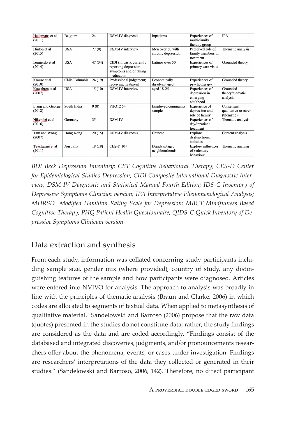| Hellemans et al<br>(2011)  | Belgium        | 24      | DSM-IV diagnosis                                                                          | Inpatients                             | Experiences of<br>multi-family<br>therapy group          | <b>IPA</b>                                       |
|----------------------------|----------------|---------|-------------------------------------------------------------------------------------------|----------------------------------------|----------------------------------------------------------|--------------------------------------------------|
| Hinton et al<br>(2015)     | <b>USA</b>     | 77(0)   | DSM-IV interview                                                                          | Men over 60 with<br>chronic depression | Perceived role of<br>family members in<br>treatment      | Thematic analysis                                |
| Izquierdo et al<br>(2014)  | <b>USA</b>     | 47 (34) | CIDI (in past); currently<br>reporting depression<br>symptoms and/or taking<br>medication | Latinos over 50                        | Experiences of<br>primary care visits                    | Grounded theory                                  |
| Krause et al<br>(2018)     | Chile/Columbia | 24(19)  | Professional judgement;<br>receiving treatment                                            | Economically<br>disadvantaged          | Experiences of<br>psychotherapy                          | Grounded theory                                  |
| Kuwabara et al<br>(2007)   | <b>USA</b>     | 15(10)  | <b>DSM-IV</b> interview                                                                   | aged 18-25                             | Experiences of<br>depression in<br>emerging<br>adulthood | Grounded<br>theory/thematic<br>analysis          |
| Liang and George<br>(2012) | South India    | 9(0)    | PHO12 5+                                                                                  | <b>Employed community</b><br>sample    | <b>Experience</b> of<br>depression and<br>role of family | Consensual<br>qualitative research<br>(thematic) |
| Nikendei et al<br>(2016)   | Germany        | 35      | DSM-IV                                                                                    |                                        | Experiences of<br>day/inpatient<br>treatment             | Thematic analysis                                |
| Tam and Wong<br>(2007)     | Hong Kong      | 20(15)  | DSM-IV diagnosis                                                                          | Chinese                                | Explore<br>dysfunctional<br>attitudes                    | Content analysis                                 |
| Teychenne et al<br>(2011)  | Australia      | 18(18)  | CES-D 10+                                                                                 | Disadvantaged<br>neighbourhoods        | <b>Explore</b> influences<br>of sedentary<br>behaviour   | Thematic analysis                                |

BDI Beck Depression Inventory; CBT Cognitive Behavioural Therapy; CES-D Center for Epidemiological Studies-Depression; CIDI Composite International Diagnostic Interview; DSM-IV Diagnostic and Statistical Manual Fourth Edition; IDS-C Inventory of Depressive Symptoms Clinician version; IPA Interpretative Phenomenological Analysis; MHRSD Modified Hamilton Rating Scale for Depression; MBCT Mindfulness Based Cognitive Therapy; PHQ Patient Health Questionnaire; QIDS-C Quick Inventory of Depressive Symptoms Clinician version

#### Data extraction and synthesis

From each study, information was collated concerning study participants including sample size, gender mix (where provided), country of study, any distinguishing features of the sample and how participants were diagnosed. Articles were entered into NVIVO for analysis. The approach to analysis was broadly in line with the principles of thematic analysis (Braun and Clarke, 2006) in which codes are allocated to segments of textual data. When applied to metasynthesis of qualitative material, Sandelowski and Barroso (2006) propose that the raw data (quotes) presented in the studies do not constitute data; rather, the study findings are considered as the data and are coded accordingly. "Findings consist of the databased and integrated discoveries, judgments, and/or pronouncements researchers offer about the phenomena, events, or cases under investigation. Findings are researchers' interpretations of the data they collected or generated in their studies." (Sandelowski and Barroso, 2006, 142). Therefore, no direct participant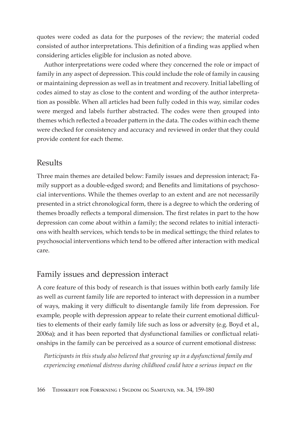quotes were coded as data for the purposes of the review; the material coded consisted of author interpretations. This definition of a finding was applied when considering articles eligible for inclusion as noted above.

Author interpretations were coded where they concerned the role or impact of family in any aspect of depression. This could include the role of family in causing or maintaining depression as well as in treatment and recovery. Initial labelling of codes aimed to stay as close to the content and wording of the author interpretation as possible. When all articles had been fully coded in this way, similar codes were merged and labels further abstracted. The codes were then grouped into themes which reflected a broader pattern in the data. The codes within each theme were checked for consistency and accuracy and reviewed in order that they could provide content for each theme.

#### **Results**

Three main themes are detailed below: Family issues and depression interact; Family support as a double-edged sword; and Benefits and limitations of psychosocial interventions. While the themes overlap to an extent and are not necessarily presented in a strict chronological form, there is a degree to which the ordering of themes broadly reflects a temporal dimension. The first relates in part to the how depression can come about within a family; the second relates to initial interactions with health services, which tends to be in medical settings; the third relates to psychosocial interventions which tend to be offered after interaction with medical care.

#### Family issues and depression interact

A core feature of this body of research is that issues within both early family life as well as current family life are reported to interact with depression in a number of ways, making it very difficult to disentangle family life from depression. For example, people with depression appear to relate their current emotional difficulties to elements of their early family life such as loss or adversity (e.g. Boyd et al., 2006a); and it has been reported that dysfunctional families or conflictual relationships in the family can be perceived as a source of current emotional distress:

Participants in this study also believed that growing up in a dysfunctional family and experiencing emotional distress during childhood could have a serious impact on the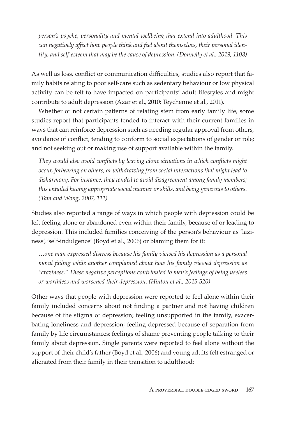person's psyche, personality and mental wellbeing that extend into adulthood. This can negatively affect how people think and feel about themselves, their personal identity, and self-esteem that may be the cause of depression. (Donnelly et al., 2019, 1108)

As well as loss, conflict or communication difficulties, studies also report that family habits relating to poor self-care such as sedentary behaviour or low physical activity can be felt to have impacted on participants' adult lifestyles and might contribute to adult depression (Azar et al., 2010; Teychenne et al., 2011).

Whether or not certain patterns of relating stem from early family life, some studies report that participants tended to interact with their current families in ways that can reinforce depression such as needing regular approval from others, avoidance of conflict, tending to conform to social expectations of gender or role; and not seeking out or making use of support available within the family.

They would also avoid conflicts by leaving alone situations in which conflicts might occur, forbearing on others, or withdrawing from social interactions that might lead to disharmony. For instance, they tended to avoid disagreement among family members; this entailed having appropriate social manner or skills, and being generous to others. (Tam and Wong, 2007, 111)

Studies also reported a range of ways in which people with depression could be left feeling alone or abandoned even within their family, because of or leading to depression. This included families conceiving of the person's behaviour as 'laziness', 'self-indulgence' (Boyd et al., 2006) or blaming them for it:

...one man expressed distress because his family viewed his depression as a personal moral failing while another complained about how his family viewed depression as "craziness." These negative perceptions contributed to men's feelings of being useless or worthless and worsened their depression. (Hinton et al., 2015,520)

Other ways that people with depression were reported to feel alone within their family included concerns about not finding a partner and not having children because of the stigma of depression; feeling unsupported in the family, exacerbating loneliness and depression; feeling depressed because of separation from family by life circumstances; feelings of shame preventing people talking to their family about depression. Single parents were reported to feel alone without the support of their child's father (Boyd et al., 2006) and young adults felt estranged or alienated from their family in their transition to adulthood: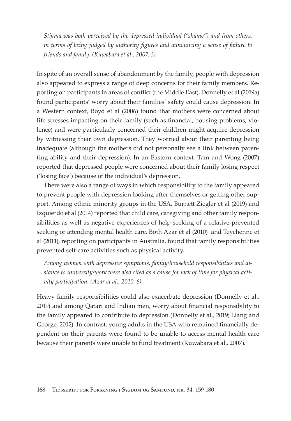Stigma was both perceived by the depressed individual ("shame") and from others, in terms of being judged by authority figures and announcing a sense of failure to friends and family. (Kuwabara et al., 2007, 3)

In spite of an overall sense of abandonment by the family, people with depression also appeared to express a range of deep concerns for their family members. Reporting on participants in areas of conflict (the Middle East), Donnelly et al (2019a) found participants' worry about their families' safety could cause depression. In a Western context, Boyd et al (2006) found that mothers were concerned about life stresses impacting on their family (such as financial, housing problems, violence) and were particularly concerned their children might acquire depression by witnessing their own depression. They worried about their parenting being inadequate (although the mothers did not personally see a link between parenting ability and their depression). In an Eastern context, Tam and Wong (2007) reported that depressed people were concerned about their family losing respect ('losing face') because of the individual's depression.

There were also a range of ways in which responsibility to the family appeared to prevent people with depression looking after themselves or getting other support. Among ethnic minority groups in the USA, Burnett Ziegler et al (2019) and Izquierdo et al (2014) reported that child care, caregiving and other family responsibilities as well as negative experiences of help-seeking of a relative prevented seeking or attending mental health care. Both Azar et al (2010) and Teychenne et al (2011), reporting on participants in Australia, found that family responsibilities prevented self-care activities such as physical activity.

Among women with depressive symptoms, family/household responsibilities and distance to university/work were also cited as a cause for lack of time for physical activity participation. (Azar et al., 2010, 6)

Heavy family responsibilities could also exacerbate depression (Donnelly et al., 2019) and among Qatari and Indian men, worry about financial responsibility to the family appeared to contribute to depression (Donnelly et al., 2019; Liang and George, 2012). In contrast, young adults in the USA who remained financially dependent on their parents were found to be unable to access mental health care because their parents were unable to fund treatment (Kuwabara et al., 2007).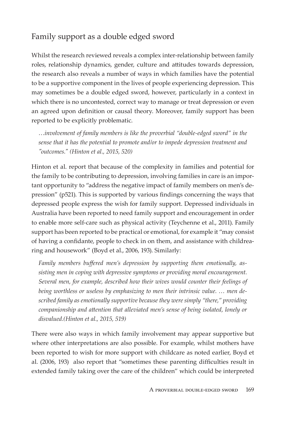## Family support as a double edged sword

Whilst the research reviewed reveals a complex inter-relationship between family roles, relationship dynamics, gender, culture and attitudes towards depression, the research also reveals a number of ways in which families have the potential to be a supportive component in the lives of people experiencing depression. This may sometimes be a double edged sword, however, particularly in a context in which there is no uncontested, correct way to manage or treat depression or even an agreed upon definition or causal theory. Moreover, family support has been reported to be explicitly problematic.

...involvement of family members is like the proverbial "double-edged sword" in the sense that it has the potential to promote and/or to impede depression treatment and "outcomes." (Hinton et al., 2015, 520)

Hinton et al. report that because of the complexity in families and potential for the family to be contributing to depression, involving families in care is an important opportunity to "address the negative impact of family members on men's depression" (p521). This is supported by various findings concerning the ways that depressed people express the wish for family support. Depressed individuals in Australia have been reported to need family support and encouragement in order to enable more self-care such as physical activity (Teychenne et al., 2011). Family support has been reported to be practical or emotional, for example it "may consist" of having a confidante, people to check in on them, and assistance with childrearing and housework" (Boyd et al., 2006, 193). Similarly:

Family members buffered men's depression by supporting them emotionally, assisting men in coping with depressive symptoms or providing moral encouragement. Several men, for example, described how their wives would counter their feelings of being worthless or useless by emphasizing to men their intrinsic value. ... men described family as emotionally supportive because they were simply "there," providing companionship and attention that alleviated men's sense of being isolated, lonely or disvalued.(Hinton et al., 2015, 519)

There were also ways in which family involvement may appear supportive but where other interpretations are also possible. For example, whilst mothers have been reported to wish for more support with childcare as noted earlier, Boyd et al. (2006, 193) also report that "sometimes these parenting difficulties result in extended family taking over the care of the children" which could be interpreted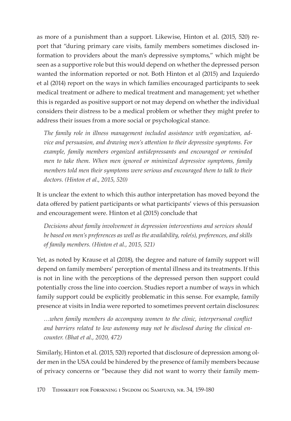as more of a punishment than a support. Likewise, Hinton et al. (2015, 520) report that "during primary care visits, family members sometimes disclosed information to providers about the man's depressive symptoms," which might be seen as a supportive role but this would depend on whether the depressed person wanted the information reported or not. Both Hinton et al (2015) and Izquierdo et al (2014) report on the ways in which families encouraged participants to seek medical treatment or adhere to medical treatment and management; yet whether this is regarded as positive support or not may depend on whether the individual considers their distress to be a medical problem or whether they might prefer to address their issues from a more social or psychological stance.

The family role in illness management included assistance with organization, advice and persuasion, and drawing men's attention to their depressive symptoms. For example, family members organized antidepressants and encouraged or reminded men to take them. When men ignored or minimized depressive symptoms, family members told men their symptoms were serious and encouraged them to talk to their doctors. (Hinton et al., 2015, 520)

It is unclear the extent to which this author interpretation has moved beyond the data offered by patient participants or what participants' views of this persuasion and encouragement were. Hinton et al (2015) conclude that

Decisions about family involvement in depression interventions and services should be based on men's preferences as well as the availability, role(s), preferences, and skills of family members. (Hinton et al., 2015, 521)

Yet, as noted by Krause et al (2018), the degree and nature of family support will depend on family members' perception of mental illness and its treatments. If this is not in line with the perceptions of the depressed person then support could potentially cross the line into coercion. Studies report a number of ways in which family support could be explicitly problematic in this sense. For example, family presence at visits in India were reported to sometimes prevent certain disclosures:

...when family members do accompany women to the clinic, interpersonal conflict and barriers related to low autonomy may not be disclosed during the clinical encounter. (Bhat et al., 2020, 472)

Similarly, Hinton et al. (2015, 520) reported that disclosure of depression among older men in the USA could be hindered by the presence of family members because of privacy concerns or "because they did not want to worry their family mem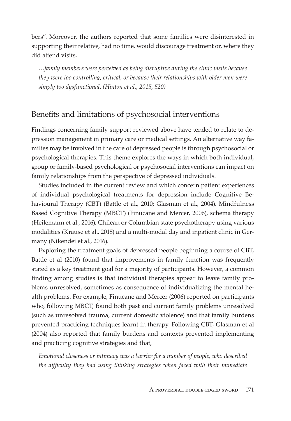bers". Moreover, the authors reported that some families were disinterested in supporting their relative, had no time, would discourage treatment or, where they did attend visits.

...family members were perceived as being disruptive during the clinic visits because they were too controlling, critical, or because their relationships with older men were simply too dysfunctional. (Hinton et al., 2015, 520)

#### Benefits and limitations of psychosocial interventions

Findings concerning family support reviewed above have tended to relate to depression management in primary care or medical settings. An alternative way families may be involved in the care of depressed people is through psychosocial or psychological therapies. This theme explores the ways in which both individual, group or family-based psychological or psychosocial interventions can impact on family relationships from the perspective of depressed individuals.

Studies included in the current review and which concern patient experiences of individual psychological treatments for depression include Cognitive Behavioural Therapy (CBT) (Battle et al., 2010; Glasman et al., 2004), Mindfulness Based Cognitive Therapy (MBCT) (Finucane and Mercer, 2006), schema therapy (Heilemann et al., 2016), Chilean or Columbian state psychotherapy using various modalities (Krause et al., 2018) and a multi-modal day and inpatient clinic in Germany (Nikendei et al., 2016).

Exploring the treatment goals of depressed people beginning a course of CBT, Battle et al (2010) found that improvements in family function was frequently stated as a key treatment goal for a majority of participants. However, a common finding among studies is that individual therapies appear to leave family problems unresolved, sometimes as consequence of individualizing the mental health problems. For example, Finucane and Mercer (2006) reported on participants who, following MBCT, found both past and current family problems unresolved (such as unresolved trauma, current domestic violence) and that family burdens prevented practicing techniques learnt in therapy. Following CBT, Glasman et al. (2004) also reported that family burdens and contexts prevented implementing and practicing cognitive strategies and that,

Emotional closeness or intimacy was a barrier for a number of people, who described the difficulty they had using thinking strategies when faced with their immediate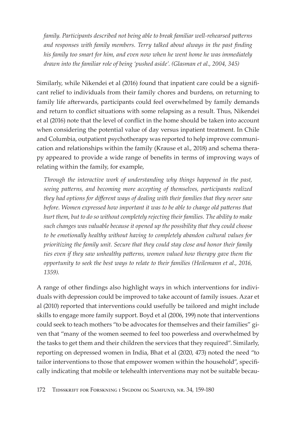family. Participants described not being able to break familiar well-rehearsed patterns and responses with family members. Terry talked about always in the past finding his family too smart for him, and even now when he went home he was immediately drawn into the familiar role of being 'pushed aside'. (Glasman et al., 2004, 345)

Similarly, while Nikendei et al (2016) found that inpatient care could be a significant relief to individuals from their family chores and burdens, on returning to family life afterwards, participants could feel overwhelmed by family demands and return to conflict situations with some relapsing as a result. Thus, Nikendei et al (2016) note that the level of conflict in the home should be taken into account when considering the potential value of day versus inpatient treatment. In Chile and Columbia, outpatient psychotherapy was reported to help improve communication and relationships within the family (Krause et al., 2018) and schema therapy appeared to provide a wide range of benefits in terms of improving ways of relating within the family, for example,

Through the interactive work of understanding why things happened in the past, seeing patterns, and becoming more accepting of themselves, participants realized they had options for different ways of dealing with their families that they never saw before. Women expressed how important it was to be able to change old patterns that hurt them, but to do so without completely rejecting their families. The ability to make such changes was valuable because it opened up the possibility that they could choose to be emotionally healthy without having to completely abandon cultural values for prioritizing the family unit. Secure that they could stay close and honor their family ties even if they saw unhealthy patterns, women valued how therapy gave them the opportunity to seek the best ways to relate to their families (Heilemann et al., 2016, 1359).

A range of other findings also highlight ways in which interventions for individuals with depression could be improved to take account of family issues. Azar et al (2010) reported that interventions could usefully be tailored and might include skills to engage more family support. Boyd et al (2006, 199) note that interventions could seek to teach mothers "to be advocates for themselves and their families" given that "many of the women seemed to feel too powerless and overwhelmed by the tasks to get them and their children the services that they required". Similarly, reporting on depressed women in India, Bhat et al (2020, 473) noted the need "to tailor interventions to those that empower women within the household", specifically indicating that mobile or telehealth interventions may not be suitable becau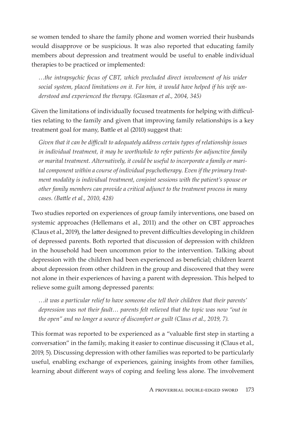se women tended to share the family phone and women worried their husbands would disapprove or be suspicious. It was also reported that educating family members about depression and treatment would be useful to enable individual therapies to be practiced or implemented:

...the intrapsychic focus of CBT, which precluded direct involvement of his wider social system, placed limitations on it. For him, it would have helped if his wife understood and experienced the therapy. (Glasman et al., 2004, 345)

Given the limitations of individually focused treatments for helping with difficulties relating to the family and given that improving family relationships is a key treatment goal for many, Battle et al (2010) suggest that:

Given that it can be difficult to adequately address certain types of relationship issues in individual treatment, it may be worthwhile to refer patients for adjunctive family or marital treatment. Alternatively, it could be useful to incorporate a family or marital component within a course of individual psychotherapy. Even if the primary treatment modality is individual treatment, conjoint sessions with the patient's spouse or other family members can provide a critical adjunct to the treatment process in many cases. (Battle et al., 2010, 428)

Two studies reported on experiences of group family interventions, one based on systemic approaches (Hellemans et al., 2011) and the other on CBT approaches (Claus et al., 2019), the latter designed to prevent difficulties developing in children of depressed parents. Both reported that discussion of depression with children in the household had been uncommon prior to the intervention. Talking about depression with the children had been experienced as beneficial; children learnt about depression from other children in the group and discovered that they were not alone in their experiences of having a parent with depression. This helped to relieve some guilt among depressed parents:

...it was a particular relief to have someone else tell their children that their parents' depression was not their fault... parents felt relieved that the topic was now "out in the open" and no longer a source of discomfort or guilt (Claus et al., 2019, 7).

This format was reported to be experienced as a "valuable first step in starting a conversation" in the family, making it easier to continue discussing it (Claus et al., 2019, 5). Discussing depression with other families was reported to be particularly useful, enabling exchange of experiences, gaining insights from other families, learning about different ways of coping and feeling less alone. The involvement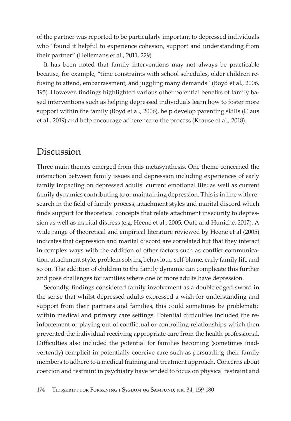of the partner was reported to be particularly important to depressed individuals who "found it helpful to experience cohesion, support and understanding from their partner" (Hellemans et al., 2011, 229).

It has been noted that family interventions may not always be practicable because, for example, "time constraints with school schedules, older children refusing to attend, embarrassment, and juggling many demands" (Boyd et al., 2006, 195). However, findings highlighted various other potential benefits of family based interventions such as helping depressed individuals learn how to foster more support within the family (Boyd et al., 2006), help develop parenting skills (Claus et al., 2019) and help encourage adherence to the process (Krause et al., 2018).

#### Discussion

Three main themes emerged from this metasynthesis. One theme concerned the interaction between family issues and depression including experiences of early family impacting on depressed adults' current emotional life; as well as current family dynamics contributing to or maintaining depression. This is in line with research in the field of family process, attachment styles and marital discord which finds support for theoretical concepts that relate attachment insecurity to depression as well as marital distress (e.g. Heene et al., 2005; Oute and Huniche, 2017). A wide range of theoretical and empirical literature reviewed by Heene et al (2005) indicates that depression and marital discord are correlated but that they interact in complex ways with the addition of other factors such as conflict communication, attachment style, problem solving behaviour, self-blame, early family life and so on. The addition of children to the family dynamic can complicate this further and pose challenges for families where one or more adults have depression.

Secondly, findings considered family involvement as a double edged sword in the sense that whilst depressed adults expressed a wish for understanding and support from their partners and families, this could sometimes be problematic within medical and primary care settings. Potential difficulties included the reinforcement or playing out of conflictual or controlling relationships which then prevented the individual receiving appropriate care from the health professional. Difficulties also included the potential for families becoming (sometimes inadvertently) complicit in potentially coercive care such as persuading their family members to adhere to a medical framing and treatment approach. Concerns about coercion and restraint in psychiatry have tended to focus on physical restraint and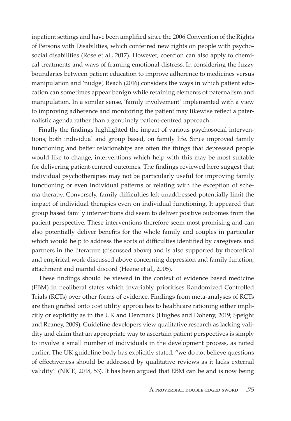inpatient settings and have been amplified since the 2006 Convention of the Rights of Persons with Disabilities, which conferred new rights on people with psychosocial disabilities (Rose et al., 2017). However, coercion can also apply to chemical treatments and ways of framing emotional distress. In considering the fuzzy boundaries between patient education to improve adherence to medicines versus manipulation and 'nudge', Reach (2016) considers the ways in which patient education can sometimes appear benign while retaining elements of paternalism and manipulation. In a similar sense, 'family involvement' implemented with a view to improving adherence and monitoring the patient may likewise reflect a paternalistic agenda rather than a genuinely patient-centred approach.

Finally the findings highlighted the impact of various psychosocial interventions, both individual and group based, on family life. Since improved family functioning and better relationships are often the things that depressed people would like to change, interventions which help with this may be most suitable for delivering patient-centred outcomes. The findings reviewed here suggest that individual psychotherapies may not be particularly useful for improving family functioning or even individual patterns of relating with the exception of schema therapy. Conversely, family difficulties left unaddressed potentially limit the impact of individual therapies even on individual functioning. It appeared that group based family interventions did seem to deliver positive outcomes from the patient perspective. These interventions therefore seem most promising and can also potentially deliver benefits for the whole family and couples in particular which would help to address the sorts of difficulties identified by caregivers and partners in the literature (discussed above) and is also supported by theoretical and empirical work discussed above concerning depression and family function, attachment and marital discord (Heene et al., 2005).

These findings should be viewed in the context of evidence based medicine (EBM) in neoliberal states which invariably prioritises Randomized Controlled Trials (RCTs) over other forms of evidence. Findings from meta-analyses of RCTs are then grafted onto cost utility approaches to healthcare rationing either implicitly or explicitly as in the UK and Denmark (Hughes and Doheny, 2019; Speight and Reaney, 2009). Guideline developers view qualitative research as lacking validity and claim that an appropriate way to ascertain patient perspectives is simply to involve a small number of individuals in the development process, as noted earlier. The UK guideline body has explicitly stated, "we do not believe questions of effectiveness should be addressed by qualitative reviews as it lacks external validity" (NICE, 2018, 53). It has been argued that EBM can be and is now being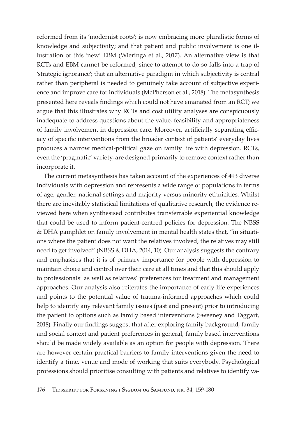reformed from its 'modernist roots'; is now embracing more pluralistic forms of knowledge and subjectivity; and that patient and public involvement is one illustration of this 'new' EBM (Wieringa et al., 2017). An alternative view is that RCTs and EBM cannot be reformed, since to attempt to do so falls into a trap of 'strategic ignorance'; that an alternative paradigm in which subjectivity is central rather than peripheral is needed to genuinely take account of subjective experience and improve care for individuals (McPherson et al., 2018). The metasynthesis presented here reveals findings which could not have emanated from an RCT; we argue that this illustrates why RCTs and cost utility analyses are conspicuously inadequate to address questions about the value, feasibility and appropriateness of family involvement in depression care. Moreover, artificially separating efficacy of specific interventions from the broader context of patients' everyday lives produces a narrow medical-political gaze on family life with depression. RCTs, even the 'pragmatic' variety, are designed primarily to remove context rather than incorporate it.

The current metasynthesis has taken account of the experiences of 493 diverse individuals with depression and represents a wide range of populations in terms of age, gender, national settings and majority versus minority ethnicities. Whilst there are inevitably statistical limitations of qualitative research, the evidence reviewed here when synthesised contributes transferrable experiential knowledge that could be used to inform patient-centred policies for depression. The NBSS & DHA pamphlet on family involvement in mental health states that, "in situations where the patient does not want the relatives involved, the relatives may still need to get involved" (NBSS & DHA, 2014, 10). Our analysis suggests the contrary and emphasises that it is of primary importance for people with depression to maintain choice and control over their care at all times and that this should apply to professionals' as well as relatives' preferences for treatment and management approaches. Our analysis also reiterates the importance of early life experiences and points to the potential value of trauma-informed approaches which could help to identify any relevant family issues (past and present) prior to introducing the patient to options such as family based interventions (Sweeney and Taggart, 2018). Finally our findings suggest that after exploring family background, family and social context and patient preferences in general, family based interventions should be made widely available as an option for people with depression. There are however certain practical barriers to family interventions given the need to identify a time, venue and mode of working that suits everybody. Psychological professions should prioritise consulting with patients and relatives to identify va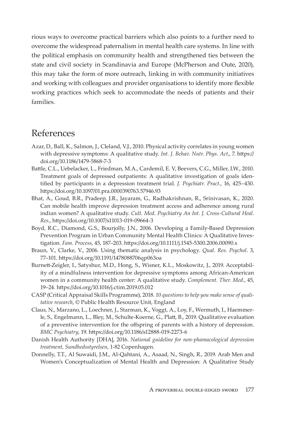rious ways to overcome practical barriers which also points to a further need to overcome the widespread paternalism in mental health care systems. In line with the political emphasis on community health and strengthened ties between the state and civil society in Scandinavia and Europe (McPherson and Oute, 2020), this may take the form of more outreach, linking in with community initiatives and working with colleagues and provider organisations to identify more flexible working practices which seek to accommodate the needs of patients and their families.

#### References

- Azar, D., Ball, K., Salmon, J., Cleland, V.J., 2010. Physical activity correlates in young women with depressive symptoms: A qualitative study. Int. J. Behav. Nutr. Phys. Act., 7. https:// doi.org/10.1186/1479-5868-7-3
- Battle, C.L., Uebelacker, L., Friedman, M.A., Cardemil, E. V, Beevers, C.G., Miller, I.W., 2010. Treatment goals of depressed outpatients: A qualitative investigation of goals identified by participants in a depression treatment trial. J. Psychiatr. Pract., 16, 425–430. https://doi.org/10.1097/01.pra.0000390763.57946.93
- Bhat, A., Goud, B.R., Pradeep, J.R., Jayaram, G., Radhakrishnan, R., Srinivasan, K., 2020. Can mobile health improve depression treatment access and adherence among rural indian women? A qualitative study. Cult. Med. Psychiatry An Int. J. Cross-Cultural Heal. Res., https://doi.org/10.1007/s11013-019-09664-3
- Boyd, R.C., Diamond, G.S., Bourjolly, J.N., 2006. Developing a Family-Based Depression Prevention Program in Urban Community Mental Health Clinics: A Qualitative Investigation. Fam. Process, 45, 187-203. https://doi.org/10.1111/j.1545-5300.2006.00090.x
- Braun, V., Clarke, V., 2006. Using thematic analysis in psychology. Qual. Res. Psychol. 3, 77-101. https://doi.org/10.1191/1478088706qp063oa
- Burnett-Zeigler, I., Satyshur, M.D., Hong, S., Wisner, K.L., Moskowitz, J., 2019. Acceptability of a mindfulness intervention for depressive symptoms among African-American women in a community health center: A qualitative study. Complement. Ther. Med., 45, 19-24. https://doi.org/10.1016/j.ctim.2019.05.012
- CASP (Critical Appraisal Skills Programme), 2018. 10 questions to help you make sense of qualitative research, © Public Health Resource Unit, England
- Claus, N., Marzano, L., Loechner, J., Starman, K., Voggt, A., Loy, F., Wermuth, I., Haemmerle, S., Engelmann, L., Bley, M., Schulte-Koerne, G., Platt, B., 2019. Qualitative evaluation of a preventive intervention for the offspring of parents with a history of depression. BMC Psychiatry, 19. https://doi.org/10.1186/s12888-019-2273-6
- Danish Health Authority [DHA], 2016. National guideline for non-phamacological depression treatment, Sundhedsstyrelsen, 1-82 Copenhagen.
- Donnelly, T.T., Al Suwaidi, J.M., Al-Qahtani, A., Asaad, N., Singh, R., 2019. Arab Men and Women's Conceptualization of Mental Health and Depression: A Qualitative Study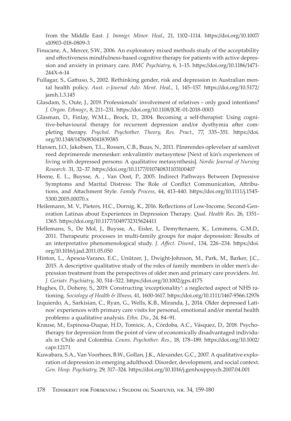from the Middle East. J. Immigr. Minor. Heal., 21, 1102-1114. https://doi.org/10.1007/ s10903-018-0809-3

- Finucane, A., Mercer, S.W., 2006. An exploratory mixed methods study of the acceptability and effectiveness mindfulness-based cognitive therapy for patients with active depression and anxiety in primary care. BMC Psychiatry, 6, 1-15. https://doi.org/10.1186/1471-244X-6-14
- Fullagar, S., Gattuso, S., 2002. Rethinking gender, risk and depression in Australian mental health policy. Aust. e-Journal Adv. Ment. Heal., 1, 145-157. https://doi.org/10.5172/ jamh.1.3.145
- Glasdam, S., Oute, J., 2019. Professionals' involvement of relatives only good intentions? J. Organ. Ethnogr., 8, 211-231. https://doi.org/10.1108/JOE-01-2018-0003
- Glasman, D., Finlay, W.M.L., Brock, D., 2004. Becoming a self-therapist: Using cognitive-behavioural therapy for recurrent depression and/or dysthymia after completing therapy. Psychol. Psychother. Theory, Res. Pract., 77, 335-351. https://doi. org/10.1348/1476083041839385
- Hansen, J.O., Jakobsen, T.L., Rossen, C.B., Buus, N., 2011. Pårørendes oplevelser af samlivet reed deprimerede mennesker: enkvalimtiv metasyntese [Next of kin's experiences of living with depressed persons: A qualitative metasynthesis]. Nordic Journal of Nursing Research. 31, 32-37. https://doi.org/10.1177/010740831103100407
- Heene, E. L., Buysse, A., Van Oost, P., 2005. Indirect Pathways Between Depressive Symptoms and Marital Distress: The Role of Conflict Communication, Attributions, and Attachment Style. Family Process, 44, 413-440. https://doi.org/10.1111/j.1545-5300.2005.00070.x
- Heilemann, M. V., Pieters, H.C., Dornig, K., 2016. Reflections of Low-Income, Second-Generation Latinas about Experiences in Depression Therapy. Qual. Health Res. 26, 1351-1365. https://doi.org/10.1177/1049732315624411
- Hellemans, S., De Mol, J., Buysse, A., Eisler, I., Demyttenaere, K., Lemmens, G.M.D., 2011. Therapeutic processes in multi-family groups for major depression: Results of an interpretative phenomenological study. J. Affect. Disord., 134, 226-234. https://doi. org/10.1016/j.jad.2011.05.050
- Hinton, L., Apesoa-Varano, E.C., Unützer, J., Dwight-Johnson, M., Park, M., Barker, J.C., 2015. A descriptive qualitative study of the roles of family members in older men's depression treatment from the perspectives of older men and primary care providers. Int. J. Geriatr. Psychiatry, 30, 514-522. https://doi.org/10.1002/gps.4175
- Hughes, D., Doheny, S., 2019. Constructing 'exceptionality': a neglected aspect of NHS rationing. Sociology of Health & Illness, 41, 1600-1617. https://doi.org/10.1111/1467-9566.12976
- Izquierdo, A., Sarkisian, C., Ryan, G., Wells, K.B., Miranda, J., 2014. Older depressed Latinos' experiences with primary care visits for personal, emotional and/or mental health problems: a qualitative analysis. Ethn. Dis., 24, 84-91.
- Krause, M., Espinosa-Duque, H.D., Tomicic, A., Córdoba, A.C., Vásquez, D., 2018. Psychotherapy for depression from the point of view of economically disadvantaged individuals in Chile and Colombia. Couns. Psychother. Res., 18, 178-189. https://doi.org/10.1002/ capr.12171
- Kuwabara, S.A., Van Voorhees, B.W., Gollan, J.K., Alexander, G.C., 2007. A qualitative exploration of depression in emerging adulthood: Disorder, development, and social context. Gen. Hosp. Psychiatry, 29, 317-324. https://doi.org/10.1016/j.genhosppsych.2007.04.001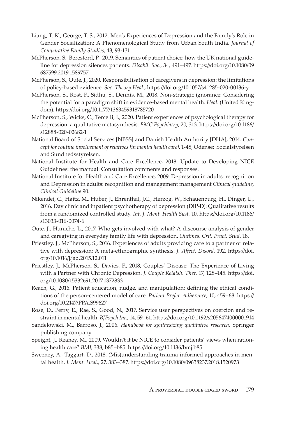- Liang, T. K., George, T. S., 2012. Men's Experiences of Depression and the Family's Role in Gender Socialization: A Phenomenological Study from Urban South India. Journal of Comparative Family Studies, 43, 93-131
- McPherson, S., Beresford, P., 2019. Semantics of patient choice: how the UK national guideline for depression silences patients. *Disabil. Soc.*, 34, 491–497. https://doi.org/10.1080/09 687599.2019.1589757
- McPherson, S., Oute, J., 2020. Responsibilisation of caregivers in depression: the limitations of policy-based evidence. Soc. Theory Heal., https://doi.org/10.1057/s41285-020-00136-y
- McPherson, S., Rost, F., Sidhu, S., Dennis, M., 2018. Non-strategic ignorance: Considering the potential for a paradigm shift in evidence-based mental health. Heal. (United Kingdom). https://doi.org/10.1177/1363459318785720
- McPherson, S., Wicks, C., Tercelli, I., 2020. Patient experiences of psychological therapy for depression: a qualitative metasynthesis. BMC Psychiatry, 20, 313. https://doi.org/10.1186/ s12888-020-02682-1
- National Board of Social Services [NBSS] and Danish Health Authority [DHA], 2014. Concept for routine involvement of relatives [in mental health care]. 1-48, Odense: Socialstyrelsen and Sundhedsstyrelsen.
- National Institute for Health and Care Excellence, 2018. Update to Developing NICE Guidelines: the manual: Consultation comments and responses.
- National Institute for Health and Care Excellence, 2009. Depression in adults: recognition and Depression in adults: recognition and management management Clinical guideline, Clinical Guideline 90.
- Nikendei, C., Haitz, M., Huber, J., Ehrenthal, J.C., Herzog, W., Schauenburg, H., Dinger, U., 2016. Day clinic and inpatient psychotherapy of depression (DIP-D): Qualitative results from a randomized controlled study. Int. J. Ment. Health Syst. 10. https://doi.org/10.1186/ s13033-016-0074-6
- Oute, J., Huniche, L., 2017. Who gets involved with what? A discourse analysis of gender and caregiving in everyday family life with depression. Outlines. Crit. Pract. Stud. 18.
- Priestley, J., McPherson, S., 2016. Experiences of adults providing care to a partner or relative with depression: A meta-ethnographic synthesis. J. Affect. Disord. 192. https://doi. org/10.1016/j.jad.2015.12.011
- Priestley, J., McPherson, S., Davies, F., 2018, Couples' Disease: The Experience of Living with a Partner with Chronic Depression. J. Couple Relatsh. Ther. 17, 128-145. https://doi. org/10.1080/15332691.2017.1372833
- Reach, G., 2016. Patient education, nudge, and manipulation: defining the ethical conditions of the person-centered model of care. Patient Prefer. Adherence, 10, 459-68. https:// doi.org/10.2147/PPA.S99627
- Rose, D., Perry, E., Rae, S., Good, N., 2017. Service user perspectives on coercion and restraint in mental health. BJPsych Int., 14, 59-61. https://doi.org/10.1192/s2056474000001914
- Sandelowski, M., Barroso, J., 2006. Handbook for synthesizing qualitative research. Springer publishing company.
- Speight, J., Reaney, M., 2009. Wouldn't it be NICE to consider patients' views when rationing health care? BMJ, 338, b85-b85. https://doi.org/10.1136/bmj.b85
- Sweeney, A., Taggart, D., 2018. (Mis)understanding trauma-informed approaches in mental health. J. Ment. Heal., 27, 383-387. https://doi.org/10.1080/09638237.2018.1520973